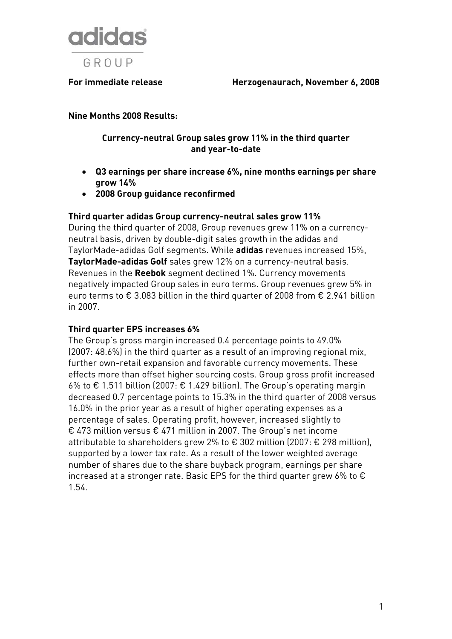

**For immediate release Herzogenaurach, November 6, 2008** 

#### **Nine Months 2008 Results:**

#### **Currency-neutral Group sales grow 11% in the third quarter and year-to-date**

- **Q3 earnings per share increase 6%, nine months earnings per share grow 14%**
- **2008 Group guidance reconfirmed**

#### **Third quarter adidas Group currency-neutral sales grow 11%**

During the third quarter of 2008, Group revenues grew 11% on a currencyneutral basis, driven by double-digit sales growth in the adidas and TaylorMade-adidas Golf segments. While **adidas** revenues increased 15%, **TaylorMade-adidas Golf** sales grew 12% on a currency-neutral basis. Revenues in the **Reebok** segment declined 1%. Currency movements negatively impacted Group sales in euro terms. Group revenues grew 5% in euro terms to € 3.083 billion in the third quarter of 2008 from € 2.941 billion in 2007.

#### **Third quarter EPS increases 6%**

The Group's gross margin increased 0.4 percentage points to 49.0% (2007: 48.6%) in the third quarter as a result of an improving regional mix, further own-retail expansion and favorable currency movements. These effects more than offset higher sourcing costs. Group gross profit increased 6% to € 1.511 billion (2007: € 1.429 billion). The Group's operating margin decreased 0.7 percentage points to 15.3% in the third quarter of 2008 versus 16.0% in the prior year as a result of higher operating expenses as a percentage of sales. Operating profit, however, increased slightly to € 473 million versus € 471 million in 2007. The Group's net income attributable to shareholders grew 2% to € 302 million (2007: € 298 million), supported by a lower tax rate. As a result of the lower weighted average number of shares due to the share buyback program, earnings per share increased at a stronger rate. Basic EPS for the third quarter grew 6% to  $\epsilon$ 1.54.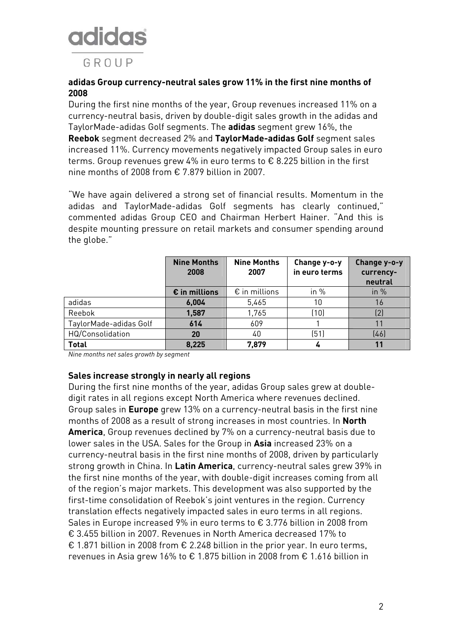## **adidas** GROUP

#### **adidas Group currency-neutral sales grow 11% in the first nine months of 2008**

During the first nine months of the year, Group revenues increased 11% on a currency-neutral basis, driven by double-digit sales growth in the adidas and TaylorMade-adidas Golf segments. The **adidas** segment grew 16%, the **Reebok** segment decreased 2% and **TaylorMade-adidas Golf** segment sales increased 11%. Currency movements negatively impacted Group sales in euro terms. Group revenues grew 4% in euro terms to € 8.225 billion in the first nine months of 2008 from € 7.879 billion in 2007.

"We have again delivered a strong set of financial results. Momentum in the adidas and TaylorMade-adidas Golf segments has clearly continued," commented adidas Group CEO and Chairman Herbert Hainer. "And this is despite mounting pressure on retail markets and consumer spending around the globe."

|                        | <b>Nine Months</b><br>2008 | <b>Nine Months</b><br>2007 | Change y-o-y<br>in euro terms | Change y-o-y<br>currency-<br>neutral |
|------------------------|----------------------------|----------------------------|-------------------------------|--------------------------------------|
|                        | $\epsilon$ in millions     | $\epsilon$ in millions     | in $%$                        | in $%$                               |
| adidas                 | 6,004                      | 5,465                      | 10                            | 16                                   |
| Reebok                 | 1,587                      | 1,765                      | (10)                          | (2)                                  |
| TaylorMade-adidas Golf | 614                        | 609                        |                               |                                      |
| HQ/Consolidation       | 20                         | 40                         | (51)                          | (46)                                 |
| <b>Total</b>           | 8,225                      | 7,879                      |                               | 11                                   |

*Nine months net sales growth by segment* 

#### **Sales increase strongly in nearly all regions**

During the first nine months of the year, adidas Group sales grew at doubledigit rates in all regions except North America where revenues declined. Group sales in **Europe** grew 13% on a currency-neutral basis in the first nine months of 2008 as a result of strong increases in most countries. In **North America**, Group revenues declined by 7% on a currency-neutral basis due to lower sales in the USA. Sales for the Group in **Asia** increased 23% on a currency-neutral basis in the first nine months of 2008, driven by particularly strong growth in China. In **Latin America**, currency-neutral sales grew 39% in the first nine months of the year, with double-digit increases coming from all of the region's major markets. This development was also supported by the first-time consolidation of Reebok's joint ventures in the region. Currency translation effects negatively impacted sales in euro terms in all regions. Sales in Europe increased 9% in euro terms to € 3.776 billion in 2008 from € 3.455 billion in 2007. Revenues in North America decreased 17% to € 1.871 billion in 2008 from € 2.248 billion in the prior year. In euro terms, revenues in Asia grew 16% to € 1.875 billion in 2008 from € 1.616 billion in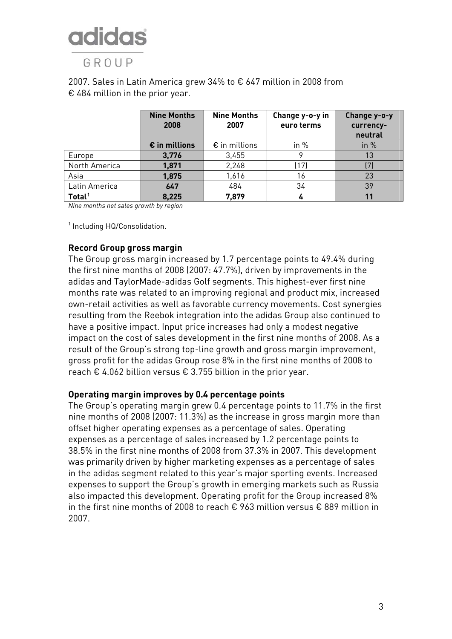GROUP

#### 2007. Sales in Latin America grew 34% to € 647 million in 2008 from € 484 million in the prior year.

|                    | <b>Nine Months</b><br>2008 | <b>Nine Months</b><br>2007 | Change y-o-y in<br>euro terms | Change y-o-y<br>currency-<br>neutral |
|--------------------|----------------------------|----------------------------|-------------------------------|--------------------------------------|
|                    | $\epsilon$ in millions     | $\epsilon$ in millions     | in $%$                        | in $%$                               |
| Europe             | 3,776                      | 3,455                      |                               | 13                                   |
| North America      | 1,871                      | 2,248                      | (17)                          | 7)                                   |
| Asia               | 1,875                      | 1,616                      | 16                            | 23                                   |
| Latin America      | 647                        | 484                        | 34                            | 39                                   |
| Total <sup>1</sup> | 8,225                      | 7,879                      |                               | 11                                   |

*Nine months net sales growth by region*

<u>.</u> 1 Including HQ/Consolidation.

#### **Record Group gross margin**

The Group gross margin increased by 1.7 percentage points to 49.4% during the first nine months of 2008 (2007: 47.7%), driven by improvements in the adidas and TaylorMade-adidas Golf segments. This highest-ever first nine months rate was related to an improving regional and product mix, increased own-retail activities as well as favorable currency movements. Cost synergies resulting from the Reebok integration into the adidas Group also continued to have a positive impact. Input price increases had only a modest negative impact on the cost of sales development in the first nine months of 2008. As a result of the Group's strong top-line growth and gross margin improvement, gross profit for the adidas Group rose 8% in the first nine months of 2008 to reach  $\epsilon$  4.062 billion versus  $\epsilon$  3.755 billion in the prior year.

#### **Operating margin improves by 0.4 percentage points**

The Group's operating margin grew 0.4 percentage points to 11.7% in the first nine months of 2008 (2007: 11.3%) as the increase in gross margin more than offset higher operating expenses as a percentage of sales. Operating expenses as a percentage of sales increased by 1.2 percentage points to 38.5% in the first nine months of 2008 from 37.3% in 2007. This development was primarily driven by higher marketing expenses as a percentage of sales in the adidas segment related to this year's major sporting events. Increased expenses to support the Group's growth in emerging markets such as Russia also impacted this development. Operating profit for the Group increased 8% in the first nine months of 2008 to reach € 963 million versus € 889 million in 2007.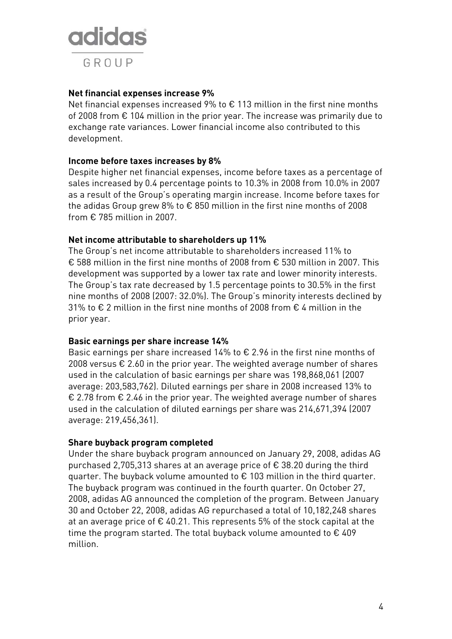

#### **Net financial expenses increase 9%**

Net financial expenses increased 9% to € 113 million in the first nine months of 2008 from € 104 million in the prior year. The increase was primarily due to exchange rate variances. Lower financial income also contributed to this development.

#### **Income before taxes increases by 8%**

Despite higher net financial expenses, income before taxes as a percentage of sales increased by 0.4 percentage points to 10.3% in 2008 from 10.0% in 2007 as a result of the Group's operating margin increase. Income before taxes for the adidas Group grew 8% to  $\epsilon$  850 million in the first nine months of 2008 from  $\epsilon$  785 million in 2007.

#### **Net income attributable to shareholders up 11%**

The Group's net income attributable to shareholders increased 11% to € 588 million in the first nine months of 2008 from € 530 million in 2007. This development was supported by a lower tax rate and lower minority interests. The Group's tax rate decreased by 1.5 percentage points to 30.5% in the first nine months of 2008 (2007: 32.0%). The Group's minority interests declined by 31% to € 2 million in the first nine months of 2008 from € 4 million in the prior year.

#### **Basic earnings per share increase 14%**

Basic earnings per share increased 14% to  $\epsilon$  2.96 in the first nine months of 2008 versus  $€$  2.60 in the prior year. The weighted average number of shares used in the calculation of basic earnings per share was 198,868,061 (2007 average: 203,583,762). Diluted earnings per share in 2008 increased 13% to € 2.78 from € 2.46 in the prior year. The weighted average number of shares used in the calculation of diluted earnings per share was 214,671,394 (2007 average: 219,456,361).

#### **Share buyback program completed**

Under the share buyback program announced on January 29, 2008, adidas AG purchased 2,705,313 shares at an average price of € 38.20 during the third quarter. The buyback volume amounted to € 103 million in the third quarter. The buyback program was continued in the fourth quarter. On October 27, 2008, adidas AG announced the completion of the program. Between January 30 and October 22, 2008, adidas AG repurchased a total of 10,182,248 shares at an average price of  $\epsilon$  40.21. This represents 5% of the stock capital at the time the program started. The total buyback volume amounted to  $\epsilon$  409 million.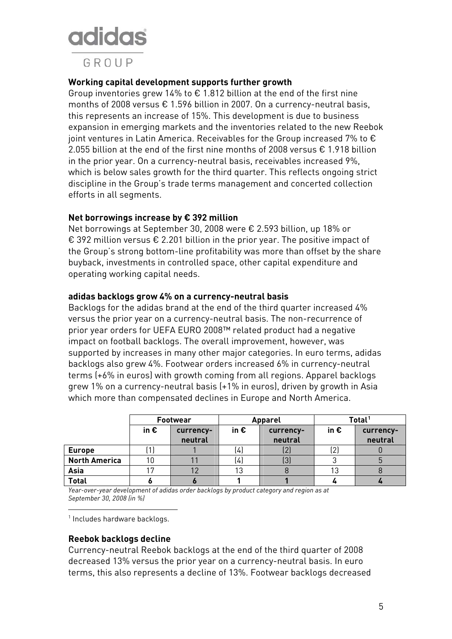GROUP

#### **Working capital development supports further growth**

Group inventories grew 14% to  $\epsilon$  1.812 billion at the end of the first nine months of 2008 versus € 1.596 billion in 2007. On a currency-neutral basis, this represents an increase of 15%. This development is due to business expansion in emerging markets and the inventories related to the new Reebok joint ventures in Latin America. Receivables for the Group increased 7% to  $\epsilon$ 2.055 billion at the end of the first nine months of 2008 versus € 1.918 billion in the prior year. On a currency-neutral basis, receivables increased 9%, which is below sales growth for the third quarter. This reflects ongoing strict discipline in the Group's trade terms management and concerted collection efforts in all segments.

#### **Net borrowings increase by € 392 million**

<span id="page-4-0"></span>Net borrowings at September 30, 2008 were € 2.593 billion, up 18% or € 392 million versus € 2.201 billion in the prior year. The positive impact of the Group's strong bottom-line profitability was more than offset by the share buyback, investments in controlled space, other capital expenditure and operating working capital needs.

#### **adidas backlogs grow 4% on a currency-neutral basis**

Backlogs for the adidas brand at the end of the third quarter increased 4% versus the prior year on a currency-neutral basis. The non-recurrence of prior year orders for UEFA EURO 2008™ related product had a negative impact on football backlogs. The overall improvement, however, was supported by increases in many other major categories. In euro terms, adidas backlogs also grew 4%. Footwear orders increased 6% in currency-neutral terms (+6% in euros) with growth coming from all regions. Apparel backlogs grew 1% on a currency-neutral basis (+1% in euros), driven by growth in Asia which more than compensated declines in Europe and North America.

|                      |               | <b>Footwear</b>      | <b>Apparel</b> |                      | Total <sup>1</sup> |                      |
|----------------------|---------------|----------------------|----------------|----------------------|--------------------|----------------------|
|                      | in $\epsilon$ | currency-<br>neutral | in $\epsilon$  | currency-<br>neutral | in $\epsilon$      | currency-<br>neutral |
| <b>Europe</b>        |               |                      | (4)            | ι∠,                  | (2)                |                      |
| <b>North America</b> | 10            |                      | (4)            | $\left( 3\right)$    |                    |                      |
| Asia                 |               |                      | 13             |                      |                    |                      |
| <b>Total</b>         |               |                      |                |                      |                    |                      |

*Year-over-year development of adidas order backlogs by product category and region as at September 30, 2008 (in %)* 

1 Includes hardware backlogs.

<u>.</u>

#### **Reebok backlogs decline**

Currency-neutral Reebok backlogs at the end of the third quarter of 2008 decreased 13% versus the prior year on a currency-neutral basis. In euro terms, this also represents a decline of 13%. Footwear backlogs decreased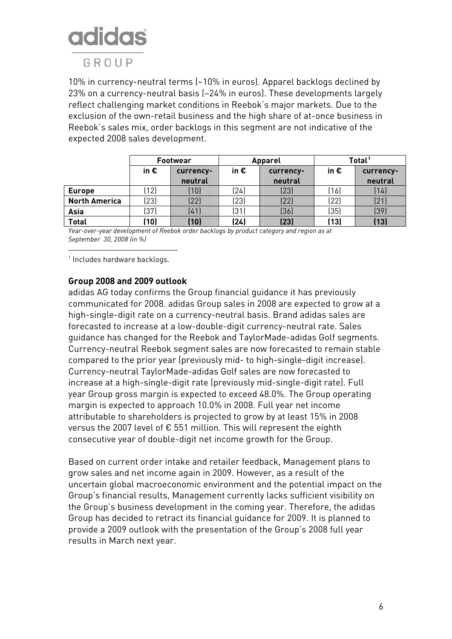### GROUP

10% in currency-neutral terms (–10% in euros). Apparel backlogs declined by 23% on a currency-neutral basis (–24% in euros). These developments largely reflect challenging market conditions in Reebok's major markets. Due to the exclusion of the own-retail business and the high share of at-once business in Reebok's sales mix, order backlogs in this segment are not indicative of the expected 2008 sales development.

|                      | <b>Footwear</b> |                      | <b>Apparel</b> |                      | Total <sup>1</sup> |                      |
|----------------------|-----------------|----------------------|----------------|----------------------|--------------------|----------------------|
|                      | in $\epsilon$   | currency-<br>neutral | in $\epsilon$  | currency-<br>neutral | in $\epsilon$      | currency-<br>neutral |
| <b>Europe</b>        | (12)            | (10)                 | (24)           | (23)                 | (16)               | (14)                 |
| <b>North America</b> | (23)            | (22)                 | (23)           | (22)                 | (22)               | (21)                 |
| Asia                 | (37)            | (41)                 | (31)           | (36)                 | (35)               | (39)                 |
| <b>Total</b>         | (10)            | (10)                 | (24)           | (23)                 | (13)               | (13)                 |

*Year-over-year development of Reebok order backlogs by product category and region as at September 30, 2008 (in %)* 

<sup>1</sup> Includes hardware backlogs.

1

#### **Group 2008 and 2009 outlook**

adidas AG today confirms the Group financial guidance it has previously communicated for 2008. adidas Group sales in 2008 are expected to grow at a high-single-digit rate on a currency-neutral basis. Brand adidas sales are forecasted to increase at a low-double-digit currency-neutral rate. Sales guidance has changed for the Reebok and TaylorMade-adidas Golf segments. Currency-neutral Reebok segment sales are now forecasted to remain stable compared to the prior year (previously mid- to high-single-digit increase). Currency-neutral TaylorMade-adidas Golf sales are now forecasted to increase at a high-single-digit rate (previously mid-single-digit rate). Full year Group gross margin is expected to exceed 48.0%. The Group operating margin is expected to approach 10.0% in 2008. Full year net income attributable to shareholders is projected to grow by at least 15% in 2008 versus the 2007 level of € 551 million. This will represent the eighth consecutive year of double-digit net income growth for the Group.

<span id="page-5-0"></span>Based on current order intake and retailer feedback, Management plans to grow sales and net income again in 2009. However, as a result of the uncertain global macroeconomic environment and the potential impact on the Group's financial results, Management currently lacks sufficient visibility on the Group's business development in the coming year. Therefore, the adidas Group has decided to retract its financial guidance for 2009. It is planned to provide a 2009 outlook with the presentation of the Group's 2008 full year results in March next year.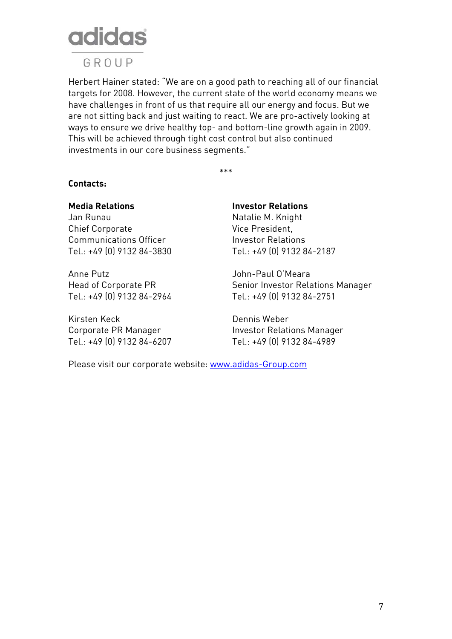

GROUP

Herbert Hainer stated: "We are on a good path to reaching all of our financial targets for 2008. However, the current state of the world economy means we have challenges in front of us that require all our energy and focus. But we are not sitting back and just waiting to react. We are pro-actively looking at ways to ensure we drive healthy top- and bottom-line growth again in 2009. This will be achieved through tight cost control but also continued investments in our core business segments."

\*\*\*

#### **Contacts:**

Chief Corporate Vice President, Communications Officer **Investor Relations** 

<span id="page-6-0"></span>Anne Putz John-Paul O'Meara

Kirsten Keck Dennis Weber

### **Media Relations Investor Relations** Jan Runau Natalie M. Knight

Tel.: +49 (0) 9132 84-3830 Tel.: +49 (0) 9132 84-2187

Head of Corporate PR Senior Investor Relations Manager Tel.: +49 (0) 9132 84-2964 Tel.: +49 (0) 9132 84-2751

Corporate PR Manager **Investor Relations Manager** Tel.: +49 (0) 9132 84-6207 Tel.: +49 (0) 9132 84-4989

Please visit our corporate website: [www.adidas-Group.com](http://www.adidas-group.com/)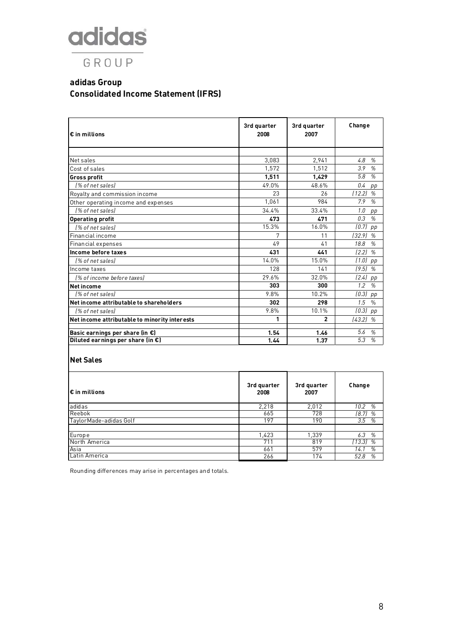## adidas GROUP

#### **adidas Group Consolidated Income Statement (IFRS)**

| $\epsilon$ in millions                        | 3rd quarter<br>2008 | 3rd quarter<br>2007 | Change                |
|-----------------------------------------------|---------------------|---------------------|-----------------------|
|                                               |                     |                     |                       |
| Net sales                                     | 3,083               | 2,941               | 4.8<br>%              |
| Cost of sales                                 | 1,572               | 1,512               | %<br>3.9              |
| <b>Gross profit</b>                           | 1,511               | 1,429               | 5.8<br>$\frac{0}{n}$  |
| 1% of net sales)                              | 49.0%               | 48.6%               | 0.4<br>pp             |
| Royalty and commission income                 | 23                  | 26                  | (12.2)<br>%           |
| Other operating income and expenses           | 1,061               | 984                 | %<br>7.9              |
| I% of net sales)                              | 34.4%               | 33.4%               | 1.0<br>pp             |
| <b>Operating profit</b>                       | 473                 | 471                 | 0.3<br>%              |
| I% of net sales)                              | 15.3%               | 16.0%               | (0.7)<br>pp           |
| Financial income                              | 7                   | 11                  | (32.9)<br>%           |
| Financial expenses                            | 49                  | 41                  | 18.8<br>$\frac{a}{2}$ |
| Income before taxes                           | 431                 | 441                 | (2.2)<br>%            |
| l% of net salesl                              | 14.0%               | 15.0%               | (1.0)<br>pp           |
| Income taxes                                  | 128                 | 141                 | (9.5)<br>%            |
| l% of income before taxes)                    | 29.6%               | 32.0%               | (2.4)<br>pp           |
| <b>Net income</b>                             | 303                 | 300                 | 1.2<br>$\frac{a}{2}$  |
| l% of net sales)                              | 9.8%                | 10.2%               | (0.3)<br>pp           |
| Net income attributable to shareholders       | 302                 | 298                 | 1.5<br>$\frac{0}{n}$  |
| [% of net sales]                              | 9.8%                | 10.1%               | (0.3)<br>pp           |
| Net income attributable to minority interests | 1                   | $\overline{2}$      | (43.2)<br>%           |
| Basic earnings per share (in €)               | 1.54                | 1.46                | 5.6<br>%              |
| Diluted earnings per share (in $\epsilon$ )   | 1.44                | 1.37                | 5.3<br>%              |

#### **Net Sales**

| l€ in millions         | 3rd quarter<br>2008 | 3rd quarter<br>2007 | Change      |
|------------------------|---------------------|---------------------|-------------|
| adidas                 | 2,218               | 2,012               | %<br>10.2   |
| Reebok                 | 665                 | 728                 | [8.7]<br>%  |
| TaylorMade-adidas Golf | 197                 | 190                 | 3.5<br>%    |
|                        |                     |                     |             |
| Europe                 | 1,423               | 1,339               | 6.3<br>%    |
| North America          | 711                 | 819                 | [13.3]<br>% |
| Asia                   | 661                 | 579                 | %<br>14.1   |
| Latin America          | 266                 | 174                 | %<br>52.8   |

Rounding differences may arise in percentages and totals.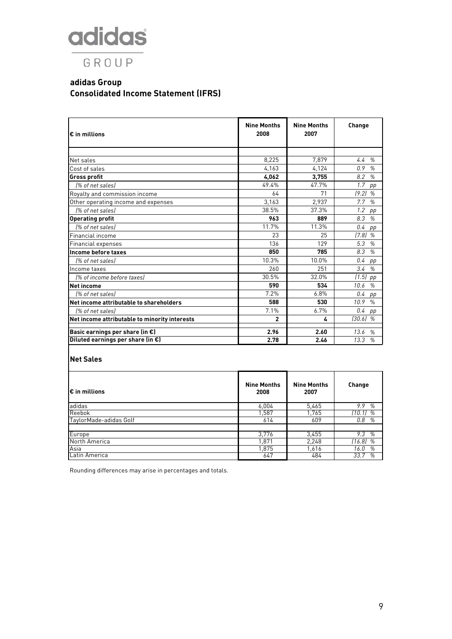## adidas GROUP

#### **adidas Group Consolidated Income Statement (IFRS)**

| $\bm \epsilon$ in millions                    | <b>Nine Months</b><br>2008 | <b>Nine Months</b><br>2007 | Change                |
|-----------------------------------------------|----------------------------|----------------------------|-----------------------|
|                                               |                            |                            |                       |
| Net sales                                     | 8,225                      | 7,879                      | %<br>4.4              |
| Cost of sales                                 | 4.163                      | 4,124                      | %<br>0.9              |
| Gross profit                                  | 4,062                      | 3,755                      | $\frac{a}{2}$<br>8.2  |
| [% of net sales]                              | 49.4%                      | 47.7%                      | 1.7<br>pp             |
| Royalty and commission income                 | 64                         | 71                         | (9.2)<br>%            |
| Other operating income and expenses           | 3,163                      | 2,937                      | 7.7<br>%              |
| 1% of net sales)                              | 38.5%                      | 37.3%                      | 1.2<br>pp             |
| <b>Operating profit</b>                       | 963                        | 889                        | 8.3<br>%              |
| 1% of net sales)                              | 11.7%                      | 11.3%                      | 0.4<br>pp             |
| Financial income                              | 23                         | 25                         | (7.8)<br>%            |
| Financial expenses                            | 136                        | 129                        | 5.3<br>%              |
| llncome before taxes                          | 850                        | 785                        | 8.3<br>$\frac{a}{2}$  |
| 1% of net sales)                              | 10.3%                      | 10.0%                      | 0.4<br>pp             |
| Income taxes                                  | 260                        | 251                        | 3.4<br>%              |
| (% of income before taxes)                    | 30.5%                      | 32.0%                      | (1.5)<br>pp           |
| Net income                                    | 590                        | 534                        | %<br>10.6             |
| 1% of net sales)                              | 7.2%                       | 6.8%                       | 0.4<br>pp             |
| Net income attributable to shareholders       | 588                        | 530                        | 10.9<br>$\frac{0}{0}$ |
| 1% of net sales)                              | 7.1%                       | 6.7%                       | 0.4<br>pp             |
| Net income attributable to minority interests | $\overline{2}$             | 4                          | (30.6)<br>%           |
| Basic earnings per share (in €)               | 2.96                       | 2.60                       | 13.6<br>%             |
| Diluted earnings per share (in €)             | 2.78                       | 2.46                       | %<br>13.3             |

### **Net Sales**

| l€ in millions         | <b>Nine Months</b><br>2008 | <b>Nine Months</b><br>2007 | Change      |
|------------------------|----------------------------|----------------------------|-------------|
| adidas                 | 6,004                      | 5,465                      | 9.9<br>%    |
| Reebok                 | 1,587                      | 1,765                      | (10.1)<br>% |
| TaylorMade-adidas Golf | 614                        | 609                        | 0.8<br>%    |
|                        |                            |                            |             |
| Europe                 | 3,776                      | 3,455                      | 9.3<br>%    |
| North America          | 1,871                      | 2,248                      | $(16.8)$ %  |
| Asia                   | 1,875                      | 1,616                      | 16.0<br>%   |
| Latin America          | 647                        | 484                        | 33.7<br>%   |

Rounding differences may arise in percentages and totals.